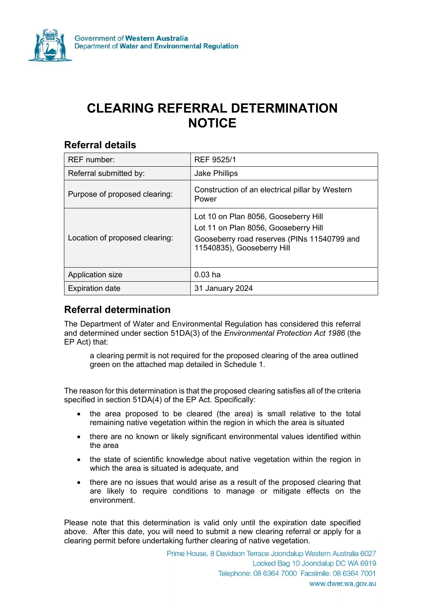

# CLEARING REFERRAL DETERMINATION NOTICE

#### Referral details

| <b>REF</b> number:             | REF 9525/1                                                                                                                                                |
|--------------------------------|-----------------------------------------------------------------------------------------------------------------------------------------------------------|
| Referral submitted by:         | <b>Jake Phillips</b>                                                                                                                                      |
| Purpose of proposed clearing:  | Construction of an electrical pillar by Western<br>Power                                                                                                  |
| Location of proposed clearing: | Lot 10 on Plan 8056, Gooseberry Hill<br>Lot 11 on Plan 8056, Gooseberry Hill<br>Gooseberry road reserves (PINs 11540799 and<br>11540835), Gooseberry Hill |
| Application size               | $0.03$ ha                                                                                                                                                 |
| <b>Expiration date</b>         | 31 January 2024                                                                                                                                           |

### Referral determination

The Department of Water and Environmental Regulation has considered this referral and determined under section 51DA(3) of the Environmental Protection Act 1986 (the EP Act) that:

a clearing permit is not required for the proposed clearing of the area outlined green on the attached map detailed in Schedule 1.

The reason for this determination is that the proposed clearing satisfies all of the criteria specified in section 51DA(4) of the EP Act. Specifically:

- the area proposed to be cleared (the area) is small relative to the total remaining native vegetation within the region in which the area is situated
- there are no known or likely significant environmental values identified within the area
- the state of scientific knowledge about native vegetation within the region in which the area is situated is adequate, and
- there are no issues that would arise as a result of the proposed clearing that are likely to require conditions to manage or mitigate effects on the environment.

Please note that this determination is valid only until the expiration date specified above. After this date, you will need to submit a new clearing referral or apply for a clearing permit before undertaking further clearing of native vegetation.